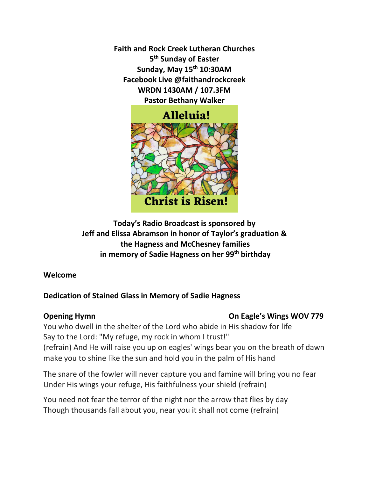**Faith and Rock Creek Lutheran Churches 5 th Sunday of Easter Sunday, May 15th 10:30AM Facebook Live @faithandrockcreek WRDN 1430AM / 107.3FM Pastor Bethany Walker**



**Today's Radio Broadcast is sponsored by Jeff and Elissa Abramson in honor of Taylor's graduation & the Hagness and McChesney families in memory of Sadie Hagness on her 99th birthday**

**Welcome** 

# **Dedication of Stained Glass in Memory of Sadie Hagness**

# **Opening Hymn On Eagle's Wings WOV 779**

You who dwell in the shelter of the Lord who abide in His shadow for life Say to the Lord: "My refuge, my rock in whom I trust!" (refrain) And He will raise you up on eagles' wings bear you on the breath of dawn make you to shine like the sun and hold you in the palm of His hand

The snare of the fowler will never capture you and famine will bring you no fear Under His wings your refuge, His faithfulness your shield (refrain)

You need not fear the terror of the night nor the arrow that flies by day Though thousands fall about you, near you it shall not come (refrain)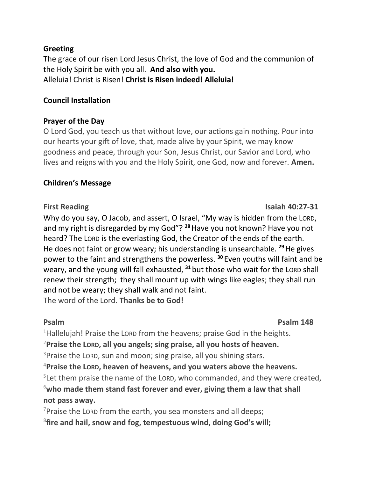## **Greeting**

The grace of our risen Lord Jesus Christ, the love of God and the communion of the Holy Spirit be with you all. **And also with you.**  Alleluia! Christ is Risen! **Christ is Risen indeed! Alleluia!**

## **Council Installation**

## **Prayer of the Day**

O Lord God, you teach us that without love, our actions gain nothing. Pour into our hearts your gift of love, that, made alive by your Spirit, we may know goodness and peace, through your Son, Jesus Christ, our Savior and Lord, who lives and reigns with you and the Holy Spirit, one God, now and forever. **Amen.**

## **Children's Message**

Why do you say, O Jacob, and assert, O Israel, "My way is hidden from the LORD, and my right is disregarded by my God"? **<sup>28</sup>**Have you not known? Have you not heard? The LORD is the everlasting God, the Creator of the ends of the earth. He does not faint or grow weary; his understanding is unsearchable. **<sup>29</sup>**He gives power to the faint and strengthens the powerless. **<sup>30</sup>** Even youths will faint and be weary, and the young will fall exhausted, **<sup>31</sup>** but those who wait for the LORD shall renew their strength; they shall mount up with wings like eagles; they shall run and not be weary; they shall walk and not faint. The word of the Lord. **Thanks be to God!**

# **Psalm Psalm 148**

<sup>1</sup>Hallelujah! Praise the Lorp from the heavens; praise God in the heights. **Praise the LORD, all you angels; sing praise, all you hosts of heaven.** Praise the LORD, sun and moon; sing praise, all you shining stars. **Praise the LORD, heaven of heavens, and you waters above the heavens.** Let them praise the name of the LORD, who commanded, and they were created,

<sup>6</sup>**who made them stand fast forever and ever, giving them a law that shall not pass away.**

 $7$ Praise the LORD from the earth, you sea monsters and all deeps; 8 **fire and hail, snow and fog, tempestuous wind, doing God's will;**

**First Reading First Reading Isaiah 40:27-31**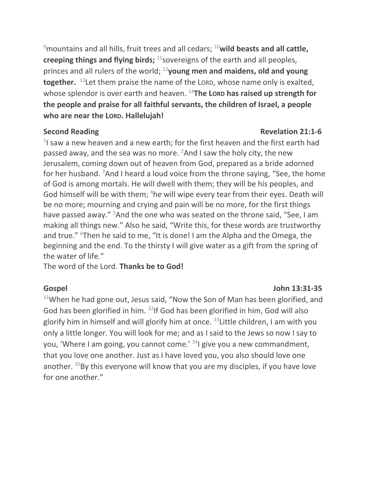<sup>9</sup>mountains and all hills, fruit trees and all cedars; <sup>10</sup>wild beasts and all cattle, **creeping things and flying birds;** <sup>11</sup> sovereigns of the earth and all peoples, princes and all rulers of the world; <sup>12</sup>**young men and maidens, old and young together.** <sup>13</sup> Let them praise the name of the LORD, whose name only is exalted, whose splendor is over earth and heaven. <sup>14</sup>The Lorp has raised up strength for **the people and praise for all faithful servants, the children of Israel, a people who are near the LORD. Hallelujah!**

 $1$  saw a new heaven and a new earth; for the first heaven and the first earth had passed away, and the sea was no more.  $2$ And I saw the holy city, the new Jerusalem, coming down out of heaven from God, prepared as a bride adorned for her husband.  $3$ And I heard a loud voice from the throne saying, "See, the home of God is among mortals. He will dwell with them; they will be his peoples, and God himself will be with them; <sup>4</sup>he will wipe every tear from their eyes. Death will be no more; mourning and crying and pain will be no more, for the first things have passed away." <sup>5</sup>And the one who was seated on the throne said, "See, I am making all things new." Also he said, "Write this, for these words are trustworthy and true." <sup>6</sup>Then he said to me, "It is done! I am the Alpha and the Omega, the beginning and the end. To the thirsty I will give water as a gift from the spring of the water of life."

The word of the Lord. **Thanks be to God!**

 $31$ When he had gone out, Jesus said, "Now the Son of Man has been glorified, and God has been glorified in him. <sup>32</sup>If God has been glorified in him, God will also glorify him in himself and will glorify him at once.  $33$  Little children, I am with you only a little longer. You will look for me; and as I said to the Jews so now I say to you, 'Where I am going, you cannot come.' <sup>34</sup>I give you a new commandment, that you love one another. Just as I have loved you, you also should love one another.  $35By$  this everyone will know that you are my disciples, if you have love for one another."

## **Second Reading Constraining Revelation 21:1-6**

## **Gospel John 13:31-35**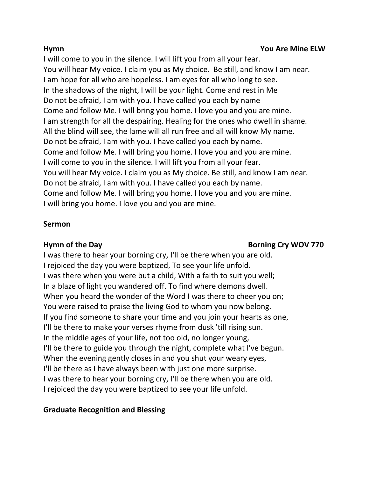I will come to you in the silence. I will lift you from all your fear. You will hear My voice. I claim you as My choice. Be still, and know I am near. I am hope for all who are hopeless. I am eyes for all who long to see. In the shadows of the night, I will be your light. Come and rest in Me Do not be afraid, I am with you. I have called you each by name Come and follow Me. I will bring you home. I love you and you are mine. I am strength for all the despairing. Healing for the ones who dwell in shame. All the blind will see, the lame will all run free and all will know My name. Do not be afraid, I am with you. I have called you each by name. Come and follow Me. I will bring you home. I love you and you are mine. I will come to you in the silence. I will lift you from all your fear. You will hear My voice. I claim you as My choice. Be still, and know I am near. Do not be afraid, I am with you. I have called you each by name. Come and follow Me. I will bring you home. I love you and you are mine. I will bring you home. I love you and you are mine.

# **Sermon**

# **Hymn of the Day Construction Cry WOV 770**  Borning Cry WOV 770

I was there to hear your borning cry, I'll be there when you are old. I rejoiced the day you were baptized, To see your life unfold. I was there when you were but a child, With a faith to suit you well; In a blaze of light you wandered off. To find where demons dwell. When you heard the wonder of the Word I was there to cheer you on; You were raised to praise the living God to whom you now belong. If you find someone to share your time and you join your hearts as one, I'll be there to make your verses rhyme from dusk 'till rising sun. In the middle ages of your life, not too old, no longer young, I'll be there to guide you through the night, complete what I've begun. When the evening gently closes in and you shut your weary eyes, I'll be there as I have always been with just one more surprise. I was there to hear your borning cry, I'll be there when you are old. I rejoiced the day you were baptized to see your life unfold.

# **Graduate Recognition and Blessing**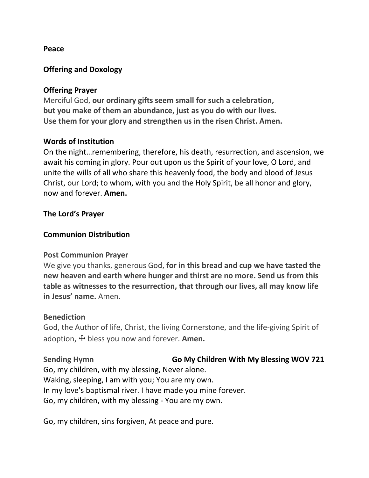### **Peace**

## **Offering and Doxology**

### **Offering Prayer**

Merciful God, **our ordinary gifts seem small for such a celebration, but you make of them an abundance, just as you do with our lives. Use them for your glory and strengthen us in the risen Christ. Amen.**

## **Words of Institution**

On the night…remembering, therefore, his death, resurrection, and ascension, we await his coming in glory. Pour out upon us the Spirit of your love, O Lord, and unite the wills of all who share this heavenly food, the body and blood of Jesus Christ, our Lord; to whom, with you and the Holy Spirit, be all honor and glory, now and forever. **Amen.**

## **The Lord's Prayer**

## **Communion Distribution**

### **Post Communion Prayer**

We give you thanks, generous God, **for in this bread and cup we have tasted the new heaven and earth where hunger and thirst are no more. Send us from this table as witnesses to the resurrection, that through our lives, all may know life in Jesus' name.** Amen.

### **Benediction**

God, the Author of life, Christ, the living Cornerstone, and the life-giving Spirit of adoption, ☩ bless you now and forever. **Amen.**

Sending Hymn **Go My Children With My Blessing WOV 721** Go, my children, with my blessing, Never alone. Waking, sleeping, I am with you; You are my own. In my love's baptismal river. I have made you mine forever. Go, my children, with my blessing - You are my own.

Go, my children, sins forgiven, At peace and pure.